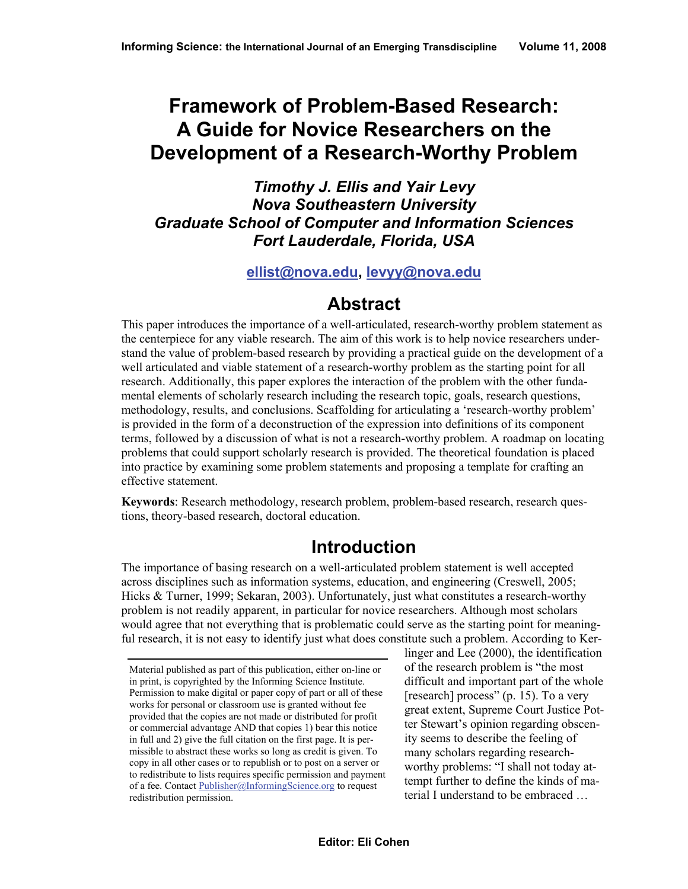# **Framework of Problem-Based Research: A Guide for Novice Researchers on the Development of a Research-Worthy Problem**

*Timothy J. Ellis and Yair Levy Nova Southeastern University Graduate School of Computer and Information Sciences Fort Lauderdale, Florida, USA* 

#### **ellist@nova.edu, levyy@nova.edu**

## **Abstract**

This paper introduces the importance of a well-articulated, research-worthy problem statement as the centerpiece for any viable research. The aim of this work is to help novice researchers understand the value of problem-based research by providing a practical guide on the development of a well articulated and viable statement of a research-worthy problem as the starting point for all research. Additionally, this paper explores the interaction of the problem with the other fundamental elements of scholarly research including the research topic, goals, research questions, methodology, results, and conclusions. Scaffolding for articulating a 'research-worthy problem' is provided in the form of a deconstruction of the expression into definitions of its component terms, followed by a discussion of what is not a research-worthy problem. A roadmap on locating problems that could support scholarly research is provided. The theoretical foundation is placed into practice by examining some problem statements and proposing a template for crafting an effective statement.

**Keywords**: Research methodology, research problem, problem-based research, research questions, theory-based research, doctoral education.

## **Introduction**

The importance of basing research on a well-articulated problem statement is well accepted across disciplines such as information systems, education, and engineering (Creswell, 2005; Hicks & Turner, 1999; Sekaran, 2003). Unfortunately, just what constitutes a research-worthy problem is not readily apparent, in particular for novice researchers. Although most scholars would agree that not everything that is problematic could serve as the starting point for meaningful research, it is not easy to identify just what does constitute such a problem. According to Ker-

linger and Lee (2000), the identification of the research problem is "the most difficult and important part of the whole [research] process" (p. 15). To a very great extent, Supreme Court Justice Potter Stewart's opinion regarding obscenity seems to describe the feeling of many scholars regarding researchworthy problems: "I shall not today attempt further to define the kinds of material I understand to be embraced …

Material published as part of this publication, either on-line or in print, is copyrighted by the Informing Science Institute. Permission to make digital or paper copy of part or all of these works for personal or classroom use is granted without fee provided that the copies are not made or distributed for profit or commercial advantage AND that copies 1) bear this notice in full and 2) give the full citation on the first page. It is permissible to abstract these works so long as credit is given. To copy in all other cases or to republish or to post on a server or to redistribute to lists requires specific permission and payment of a fee. Contact Publisher@InformingScience.org to request redistribution permission.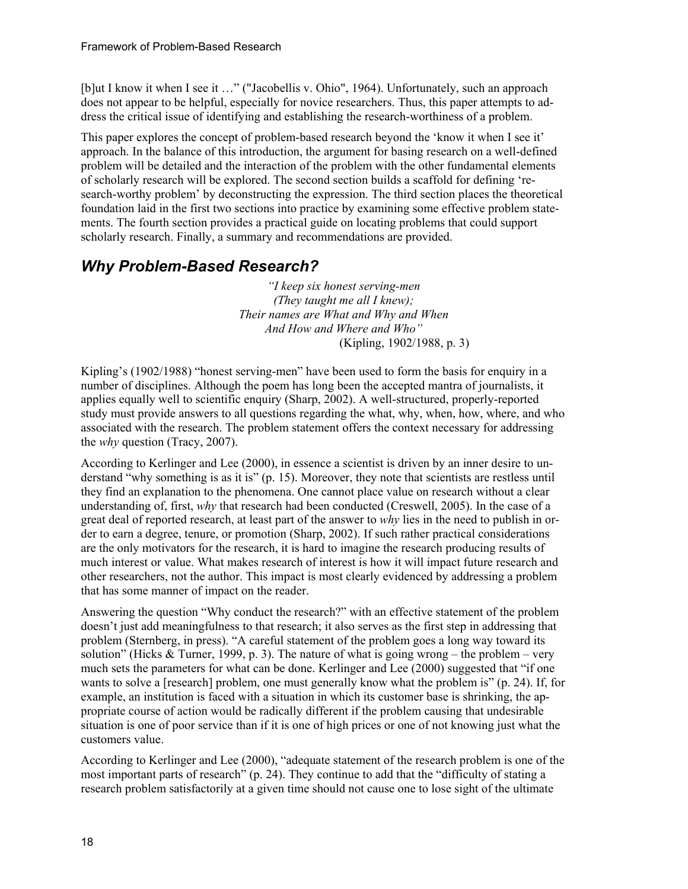[b]ut I know it when I see it …" ("Jacobellis v. Ohio", 1964). Unfortunately, such an approach does not appear to be helpful, especially for novice researchers. Thus, this paper attempts to address the critical issue of identifying and establishing the research-worthiness of a problem.

This paper explores the concept of problem-based research beyond the 'know it when I see it' approach. In the balance of this introduction, the argument for basing research on a well-defined problem will be detailed and the interaction of the problem with the other fundamental elements of scholarly research will be explored. The second section builds a scaffold for defining 'research-worthy problem' by deconstructing the expression. The third section places the theoretical foundation laid in the first two sections into practice by examining some effective problem statements. The fourth section provides a practical guide on locating problems that could support scholarly research. Finally, a summary and recommendations are provided.

### *Why Problem-Based Research?*

*"I keep six honest serving-men (They taught me all I knew); Their names are What and Why and When And How and Where and Who"* (Kipling, 1902/1988, p. 3)

Kipling's (1902/1988) "honest serving-men" have been used to form the basis for enquiry in a number of disciplines. Although the poem has long been the accepted mantra of journalists, it applies equally well to scientific enquiry (Sharp, 2002). A well-structured, properly-reported study must provide answers to all questions regarding the what, why, when, how, where, and who associated with the research. The problem statement offers the context necessary for addressing the *why* question (Tracy, 2007).

According to Kerlinger and Lee (2000), in essence a scientist is driven by an inner desire to understand "why something is as it is" (p. 15). Moreover, they note that scientists are restless until they find an explanation to the phenomena. One cannot place value on research without a clear understanding of, first, *why* that research had been conducted (Creswell, 2005). In the case of a great deal of reported research, at least part of the answer to *why* lies in the need to publish in order to earn a degree, tenure, or promotion (Sharp, 2002). If such rather practical considerations are the only motivators for the research, it is hard to imagine the research producing results of much interest or value. What makes research of interest is how it will impact future research and other researchers, not the author. This impact is most clearly evidenced by addressing a problem that has some manner of impact on the reader.

Answering the question "Why conduct the research?" with an effective statement of the problem doesn't just add meaningfulness to that research; it also serves as the first step in addressing that problem (Sternberg, in press). "A careful statement of the problem goes a long way toward its solution" (Hicks & Turner, 1999, p. 3). The nature of what is going wrong – the problem – very much sets the parameters for what can be done. Kerlinger and Lee (2000) suggested that "if one wants to solve a [research] problem, one must generally know what the problem is" (p. 24). If, for example, an institution is faced with a situation in which its customer base is shrinking, the appropriate course of action would be radically different if the problem causing that undesirable situation is one of poor service than if it is one of high prices or one of not knowing just what the customers value.

According to Kerlinger and Lee (2000), "adequate statement of the research problem is one of the most important parts of research" (p. 24). They continue to add that the "difficulty of stating a research problem satisfactorily at a given time should not cause one to lose sight of the ultimate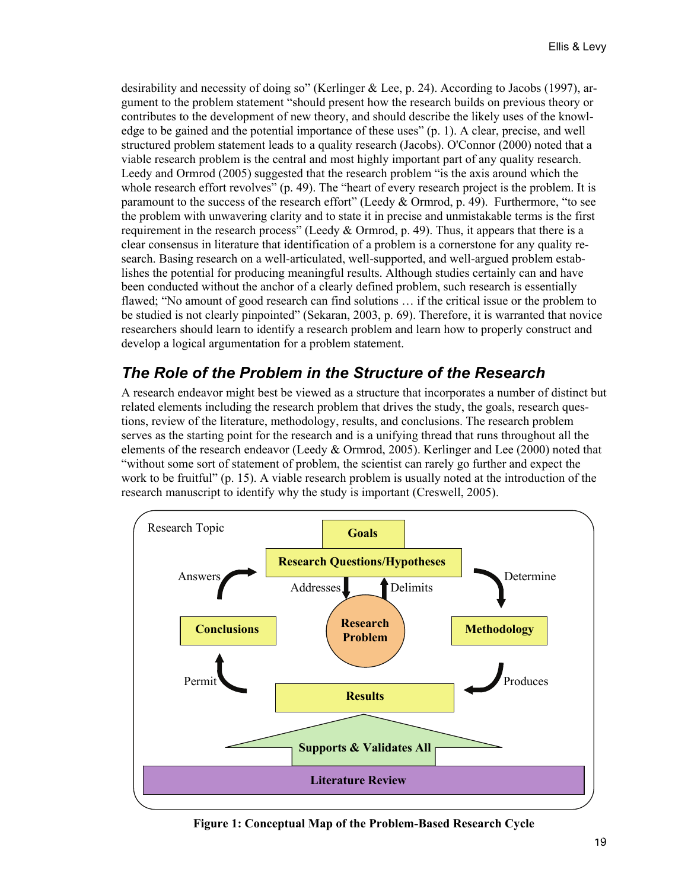desirability and necessity of doing so" (Kerlinger & Lee, p. 24). According to Jacobs (1997), argument to the problem statement "should present how the research builds on previous theory or contributes to the development of new theory, and should describe the likely uses of the knowledge to be gained and the potential importance of these uses" (p. 1). A clear, precise, and well structured problem statement leads to a quality research (Jacobs). O'Connor (2000) noted that a viable research problem is the central and most highly important part of any quality research. Leedy and Ormrod (2005) suggested that the research problem "is the axis around which the whole research effort revolves" (p. 49). The "heart of every research project is the problem. It is paramount to the success of the research effort" (Leedy & Ormrod, p. 49). Furthermore, "to see the problem with unwavering clarity and to state it in precise and unmistakable terms is the first requirement in the research process" (Leedy & Ormrod, p. 49). Thus, it appears that there is a clear consensus in literature that identification of a problem is a cornerstone for any quality research. Basing research on a well-articulated, well-supported, and well-argued problem establishes the potential for producing meaningful results. Although studies certainly can and have been conducted without the anchor of a clearly defined problem, such research is essentially flawed; "No amount of good research can find solutions … if the critical issue or the problem to be studied is not clearly pinpointed" (Sekaran, 2003, p. 69). Therefore, it is warranted that novice researchers should learn to identify a research problem and learn how to properly construct and develop a logical argumentation for a problem statement.

### *The Role of the Problem in the Structure of the Research*

A research endeavor might best be viewed as a structure that incorporates a number of distinct but related elements including the research problem that drives the study, the goals, research questions, review of the literature, methodology, results, and conclusions. The research problem serves as the starting point for the research and is a unifying thread that runs throughout all the elements of the research endeavor (Leedy & Ormrod, 2005). Kerlinger and Lee (2000) noted that "without some sort of statement of problem, the scientist can rarely go further and expect the work to be fruitful" (p. 15). A viable research problem is usually noted at the introduction of the research manuscript to identify why the study is important (Creswell, 2005).



**Figure 1: Conceptual Map of the Problem-Based Research Cycle**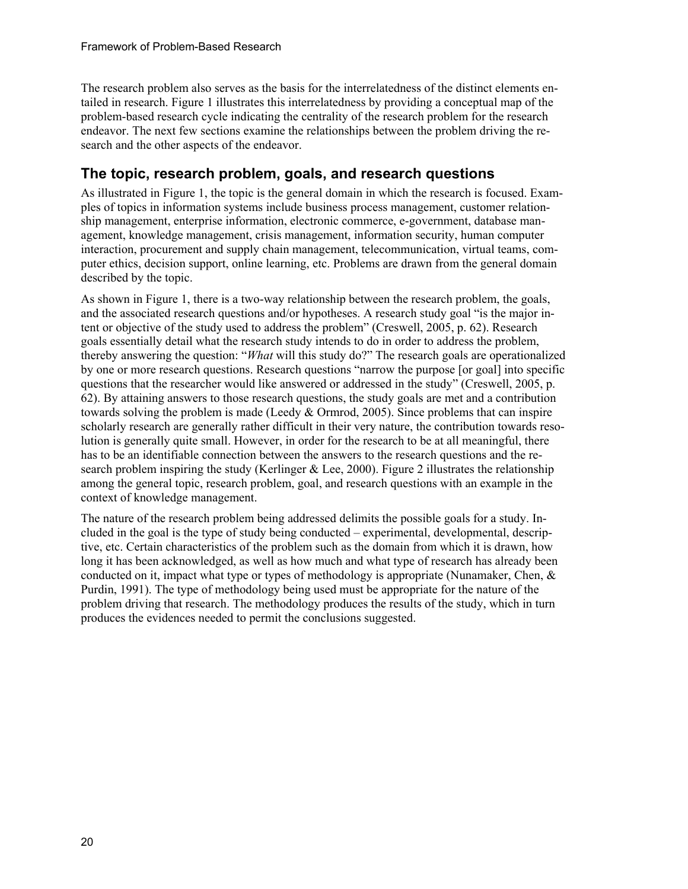The research problem also serves as the basis for the interrelatedness of the distinct elements entailed in research. Figure 1 illustrates this interrelatedness by providing a conceptual map of the problem-based research cycle indicating the centrality of the research problem for the research endeavor. The next few sections examine the relationships between the problem driving the research and the other aspects of the endeavor.

#### **The topic, research problem, goals, and research questions**

As illustrated in Figure 1, the topic is the general domain in which the research is focused. Examples of topics in information systems include business process management, customer relationship management, enterprise information, electronic commerce, e-government, database management, knowledge management, crisis management, information security, human computer interaction, procurement and supply chain management, telecommunication, virtual teams, computer ethics, decision support, online learning, etc. Problems are drawn from the general domain described by the topic.

As shown in Figure 1, there is a two-way relationship between the research problem, the goals, and the associated research questions and/or hypotheses. A research study goal "is the major intent or objective of the study used to address the problem" (Creswell, 2005, p. 62). Research goals essentially detail what the research study intends to do in order to address the problem, thereby answering the question: "*What* will this study do?" The research goals are operationalized by one or more research questions. Research questions "narrow the purpose [or goal] into specific questions that the researcher would like answered or addressed in the study" (Creswell, 2005, p. 62). By attaining answers to those research questions, the study goals are met and a contribution towards solving the problem is made (Leedy & Ormrod, 2005). Since problems that can inspire scholarly research are generally rather difficult in their very nature, the contribution towards resolution is generally quite small. However, in order for the research to be at all meaningful, there has to be an identifiable connection between the answers to the research questions and the research problem inspiring the study (Kerlinger & Lee, 2000). Figure 2 illustrates the relationship among the general topic, research problem, goal, and research questions with an example in the context of knowledge management.

The nature of the research problem being addressed delimits the possible goals for a study. Included in the goal is the type of study being conducted – experimental, developmental, descriptive, etc. Certain characteristics of the problem such as the domain from which it is drawn, how long it has been acknowledged, as well as how much and what type of research has already been conducted on it, impact what type or types of methodology is appropriate (Nunamaker, Chen, & Purdin, 1991). The type of methodology being used must be appropriate for the nature of the problem driving that research. The methodology produces the results of the study, which in turn produces the evidences needed to permit the conclusions suggested.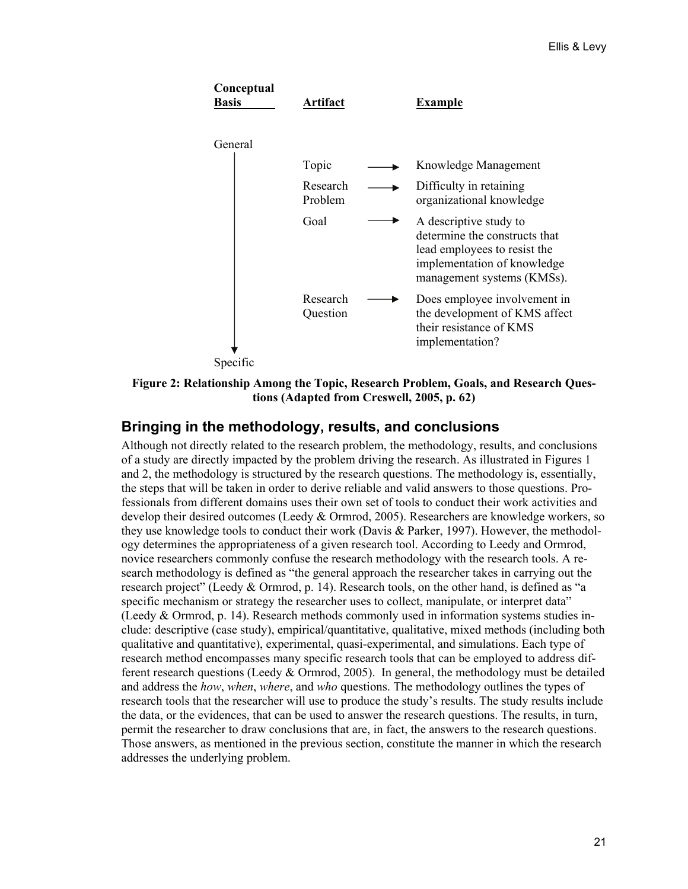

**Figure 2: Relationship Among the Topic, Research Problem, Goals, and Research Questions (Adapted from Creswell, 2005, p. 62)** 

#### **Bringing in the methodology, results, and conclusions**

Although not directly related to the research problem, the methodology, results, and conclusions of a study are directly impacted by the problem driving the research. As illustrated in Figures 1 and 2, the methodology is structured by the research questions. The methodology is, essentially, the steps that will be taken in order to derive reliable and valid answers to those questions. Professionals from different domains uses their own set of tools to conduct their work activities and develop their desired outcomes (Leedy & Ormrod, 2005). Researchers are knowledge workers, so they use knowledge tools to conduct their work (Davis & Parker, 1997). However, the methodology determines the appropriateness of a given research tool. According to Leedy and Ormrod, novice researchers commonly confuse the research methodology with the research tools. A research methodology is defined as "the general approach the researcher takes in carrying out the research project" (Leedy & Ormrod, p. 14). Research tools, on the other hand, is defined as "a specific mechanism or strategy the researcher uses to collect, manipulate, or interpret data" (Leedy & Ormrod, p. 14). Research methods commonly used in information systems studies include: descriptive (case study), empirical/quantitative, qualitative, mixed methods (including both qualitative and quantitative), experimental, quasi-experimental, and simulations. Each type of research method encompasses many specific research tools that can be employed to address different research questions (Leedy  $&$  Ormrod, 2005). In general, the methodology must be detailed and address the *how*, *when*, *where*, and *who* questions. The methodology outlines the types of research tools that the researcher will use to produce the study's results. The study results include the data, or the evidences, that can be used to answer the research questions. The results, in turn, permit the researcher to draw conclusions that are, in fact, the answers to the research questions. Those answers, as mentioned in the previous section, constitute the manner in which the research addresses the underlying problem.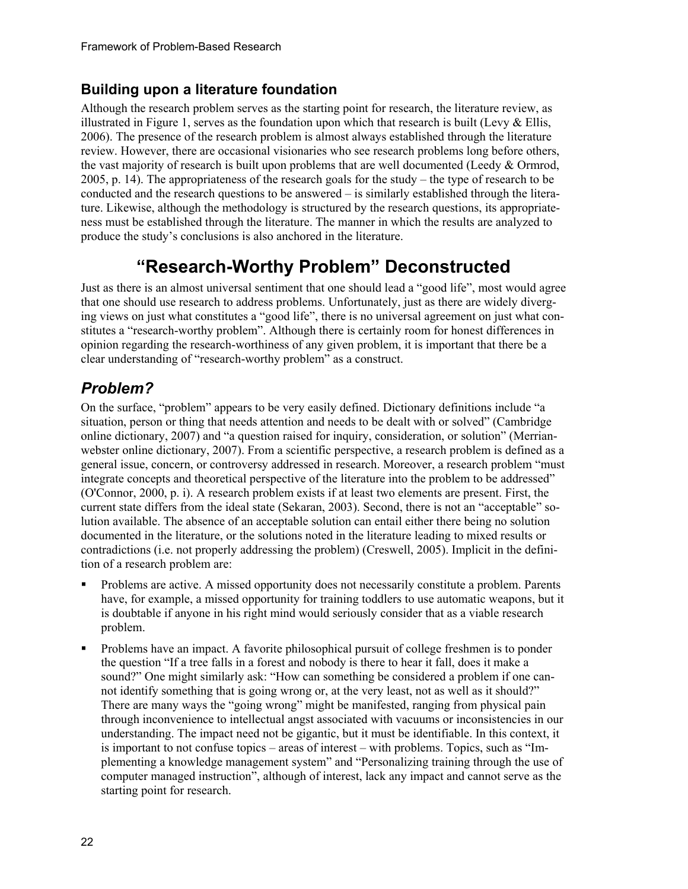#### **Building upon a literature foundation**

Although the research problem serves as the starting point for research, the literature review, as illustrated in Figure 1, serves as the foundation upon which that research is built (Levy  $\&$  Ellis, 2006). The presence of the research problem is almost always established through the literature review. However, there are occasional visionaries who see research problems long before others, the vast majority of research is built upon problems that are well documented (Leedy & Ormrod, 2005, p. 14). The appropriateness of the research goals for the study – the type of research to be conducted and the research questions to be answered – is similarly established through the literature. Likewise, although the methodology is structured by the research questions, its appropriateness must be established through the literature. The manner in which the results are analyzed to produce the study's conclusions is also anchored in the literature.

# **"Research-Worthy Problem" Deconstructed**

Just as there is an almost universal sentiment that one should lead a "good life", most would agree that one should use research to address problems. Unfortunately, just as there are widely diverging views on just what constitutes a "good life", there is no universal agreement on just what constitutes a "research-worthy problem". Although there is certainly room for honest differences in opinion regarding the research-worthiness of any given problem, it is important that there be a clear understanding of "research-worthy problem" as a construct.

## *Problem?*

On the surface, "problem" appears to be very easily defined. Dictionary definitions include "a situation, person or thing that needs attention and needs to be dealt with or solved" (Cambridge online dictionary, 2007) and "a question raised for inquiry, consideration, or solution" (Merrianwebster online dictionary, 2007). From a scientific perspective, a research problem is defined as a general issue, concern, or controversy addressed in research. Moreover, a research problem "must integrate concepts and theoretical perspective of the literature into the problem to be addressed" (O'Connor, 2000, p. i). A research problem exists if at least two elements are present. First, the current state differs from the ideal state (Sekaran, 2003). Second, there is not an "acceptable" solution available. The absence of an acceptable solution can entail either there being no solution documented in the literature, or the solutions noted in the literature leading to mixed results or contradictions (i.e. not properly addressing the problem) (Creswell, 2005). Implicit in the definition of a research problem are:

- Problems are active. A missed opportunity does not necessarily constitute a problem. Parents have, for example, a missed opportunity for training toddlers to use automatic weapons, but it is doubtable if anyone in his right mind would seriously consider that as a viable research problem.
- Problems have an impact. A favorite philosophical pursuit of college freshmen is to ponder the question "If a tree falls in a forest and nobody is there to hear it fall, does it make a sound?" One might similarly ask: "How can something be considered a problem if one cannot identify something that is going wrong or, at the very least, not as well as it should?" There are many ways the "going wrong" might be manifested, ranging from physical pain through inconvenience to intellectual angst associated with vacuums or inconsistencies in our understanding. The impact need not be gigantic, but it must be identifiable. In this context, it is important to not confuse topics – areas of interest – with problems. Topics, such as "Implementing a knowledge management system" and "Personalizing training through the use of computer managed instruction", although of interest, lack any impact and cannot serve as the starting point for research.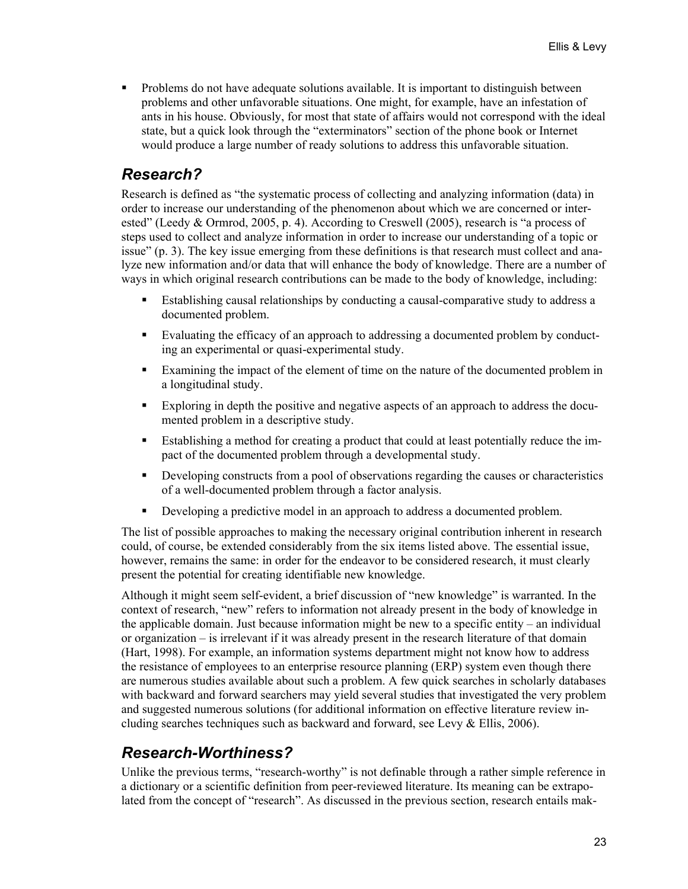• Problems do not have adequate solutions available. It is important to distinguish between problems and other unfavorable situations. One might, for example, have an infestation of ants in his house. Obviously, for most that state of affairs would not correspond with the ideal state, but a quick look through the "exterminators" section of the phone book or Internet would produce a large number of ready solutions to address this unfavorable situation.

#### *Research?*

Research is defined as "the systematic process of collecting and analyzing information (data) in order to increase our understanding of the phenomenon about which we are concerned or interested" (Leedy & Ormrod, 2005, p. 4). According to Creswell (2005), research is "a process of steps used to collect and analyze information in order to increase our understanding of a topic or issue" (p. 3). The key issue emerging from these definitions is that research must collect and analyze new information and/or data that will enhance the body of knowledge. There are a number of ways in which original research contributions can be made to the body of knowledge, including:

- Establishing causal relationships by conducting a causal-comparative study to address a documented problem.
- Evaluating the efficacy of an approach to addressing a documented problem by conducting an experimental or quasi-experimental study.
- Examining the impact of the element of time on the nature of the documented problem in a longitudinal study.
- Exploring in depth the positive and negative aspects of an approach to address the documented problem in a descriptive study.
- Establishing a method for creating a product that could at least potentially reduce the impact of the documented problem through a developmental study.
- Developing constructs from a pool of observations regarding the causes or characteristics of a well-documented problem through a factor analysis.
- Developing a predictive model in an approach to address a documented problem.

The list of possible approaches to making the necessary original contribution inherent in research could, of course, be extended considerably from the six items listed above. The essential issue, however, remains the same: in order for the endeavor to be considered research, it must clearly present the potential for creating identifiable new knowledge.

Although it might seem self-evident, a brief discussion of "new knowledge" is warranted. In the context of research, "new" refers to information not already present in the body of knowledge in the applicable domain. Just because information might be new to a specific entity – an individual or organization – is irrelevant if it was already present in the research literature of that domain (Hart, 1998). For example, an information systems department might not know how to address the resistance of employees to an enterprise resource planning (ERP) system even though there are numerous studies available about such a problem. A few quick searches in scholarly databases with backward and forward searchers may yield several studies that investigated the very problem and suggested numerous solutions (for additional information on effective literature review including searches techniques such as backward and forward, see Levy & Ellis, 2006).

### *Research-Worthiness?*

Unlike the previous terms, "research-worthy" is not definable through a rather simple reference in a dictionary or a scientific definition from peer-reviewed literature. Its meaning can be extrapolated from the concept of "research". As discussed in the previous section, research entails mak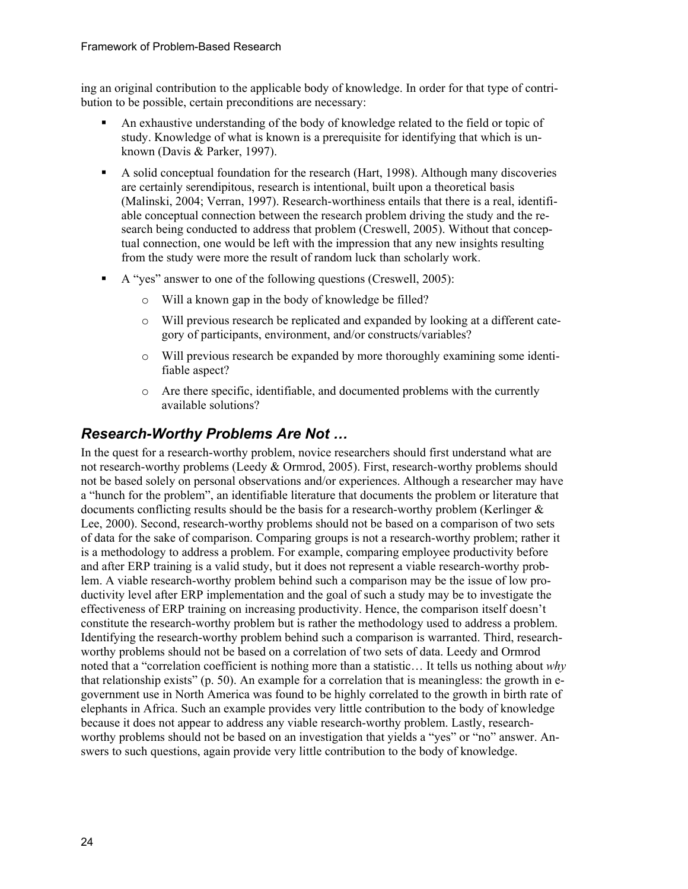ing an original contribution to the applicable body of knowledge. In order for that type of contribution to be possible, certain preconditions are necessary:

- An exhaustive understanding of the body of knowledge related to the field or topic of study. Knowledge of what is known is a prerequisite for identifying that which is unknown (Davis & Parker, 1997).
- A solid conceptual foundation for the research (Hart, 1998). Although many discoveries are certainly serendipitous, research is intentional, built upon a theoretical basis (Malinski, 2004; Verran, 1997). Research-worthiness entails that there is a real, identifiable conceptual connection between the research problem driving the study and the research being conducted to address that problem (Creswell, 2005). Without that conceptual connection, one would be left with the impression that any new insights resulting from the study were more the result of random luck than scholarly work.
- A "yes" answer to one of the following questions (Creswell, 2005):
	- o Will a known gap in the body of knowledge be filled?
	- o Will previous research be replicated and expanded by looking at a different category of participants, environment, and/or constructs/variables?
	- o Will previous research be expanded by more thoroughly examining some identifiable aspect?
	- o Are there specific, identifiable, and documented problems with the currently available solutions?

#### *Research-Worthy Problems Are Not …*

In the quest for a research-worthy problem, novice researchers should first understand what are not research-worthy problems (Leedy & Ormrod, 2005). First, research-worthy problems should not be based solely on personal observations and/or experiences. Although a researcher may have a "hunch for the problem", an identifiable literature that documents the problem or literature that documents conflicting results should be the basis for a research-worthy problem (Kerlinger & Lee, 2000). Second, research-worthy problems should not be based on a comparison of two sets of data for the sake of comparison. Comparing groups is not a research-worthy problem; rather it is a methodology to address a problem. For example, comparing employee productivity before and after ERP training is a valid study, but it does not represent a viable research-worthy problem. A viable research-worthy problem behind such a comparison may be the issue of low productivity level after ERP implementation and the goal of such a study may be to investigate the effectiveness of ERP training on increasing productivity. Hence, the comparison itself doesn't constitute the research-worthy problem but is rather the methodology used to address a problem. Identifying the research-worthy problem behind such a comparison is warranted. Third, researchworthy problems should not be based on a correlation of two sets of data. Leedy and Ormrod noted that a "correlation coefficient is nothing more than a statistic… It tells us nothing about *why* that relationship exists" (p. 50). An example for a correlation that is meaningless: the growth in egovernment use in North America was found to be highly correlated to the growth in birth rate of elephants in Africa. Such an example provides very little contribution to the body of knowledge because it does not appear to address any viable research-worthy problem. Lastly, researchworthy problems should not be based on an investigation that yields a "yes" or "no" answer. Answers to such questions, again provide very little contribution to the body of knowledge.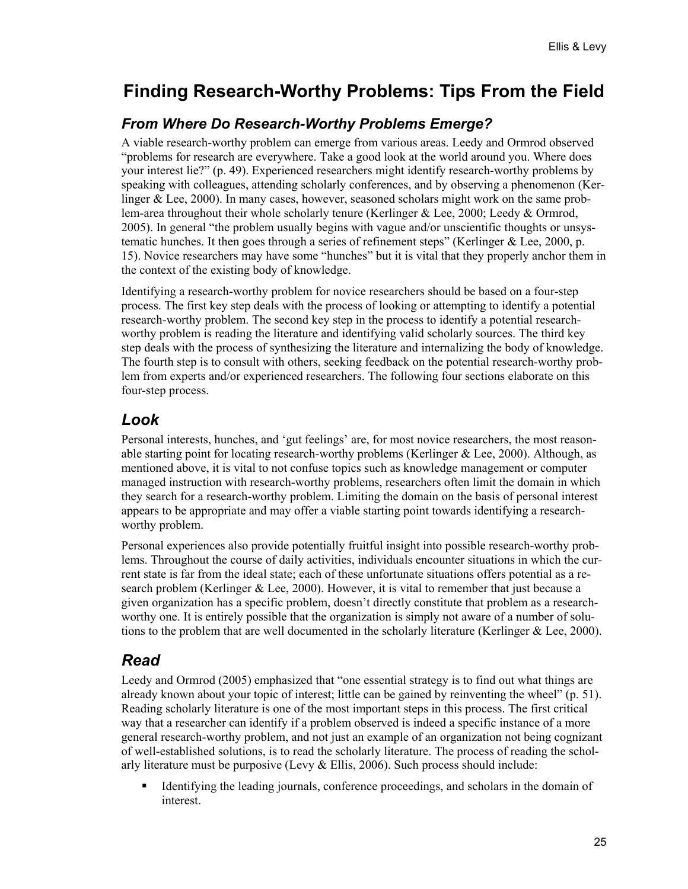# **Finding Research-Worthy Problems: Tips From the Field**

#### *From Where Do Research-Worthy Problems Emerge?*

A viable research-worthy problem can emerge from various areas. Leedy and Ormrod observed "problems for research are everywhere. Take a good look at the world around you. Where does your interest lie?" (p. 49). Experienced researchers might identify research-worthy problems by speaking with colleagues, attending scholarly conferences, and by observing a phenomenon (Kerlinger & Lee, 2000). In many cases, however, seasoned scholars might work on the same problem-area throughout their whole scholarly tenure (Kerlinger & Lee, 2000; Leedy & Ormrod, 2005). In general "the problem usually begins with vague and/or unscientific thoughts or unsystematic hunches. It then goes through a series of refinement steps" (Kerlinger & Lee, 2000, p. 15). Novice researchers may have some "hunches" but it is vital that they properly anchor them in the context of the existing body of knowledge.

Identifying a research-worthy problem for novice researchers should be based on a four-step process. The first key step deals with the process of looking or attempting to identify a potential research-worthy problem. The second key step in the process to identify a potential researchworthy problem is reading the literature and identifying valid scholarly sources. The third key step deals with the process of synthesizing the literature and internalizing the body of knowledge. The fourth step is to consult with others, seeking feedback on the potential research-worthy problem from experts and/or experienced researchers. The following four sections elaborate on this four-step process.

#### *Look*

Personal interests, hunches, and 'gut feelings' are, for most novice researchers, the most reasonable starting point for locating research-worthy problems (Kerlinger  $&$  Lee, 2000). Although, as mentioned above, it is vital to not confuse topics such as knowledge management or computer managed instruction with research-worthy problems, researchers often limit the domain in which they search for a research-worthy problem. Limiting the domain on the basis of personal interest appears to be appropriate and may offer a viable starting point towards identifying a researchworthy problem.

Personal experiences also provide potentially fruitful insight into possible research-worthy problems. Throughout the course of daily activities, individuals encounter situations in which the current state is far from the ideal state; each of these unfortunate situations offers potential as a research problem (Kerlinger & Lee, 2000). However, it is vital to remember that just because a given organization has a specific problem, doesn't directly constitute that problem as a researchworthy one. It is entirely possible that the organization is simply not aware of a number of solutions to the problem that are well documented in the scholarly literature (Kerlinger & Lee, 2000).

### *Read*

Leedy and Ormrod (2005) emphasized that "one essential strategy is to find out what things are already known about your topic of interest; little can be gained by reinventing the wheel" (p. 51). Reading scholarly literature is one of the most important steps in this process. The first critical way that a researcher can identify if a problem observed is indeed a specific instance of a more general research-worthy problem, and not just an example of an organization not being cognizant of well-established solutions, is to read the scholarly literature. The process of reading the scholarly literature must be purposive (Levy  $&$  Ellis, 2006). Such process should include:

Identifying the leading journals, conference proceedings, and scholars in the domain of interest.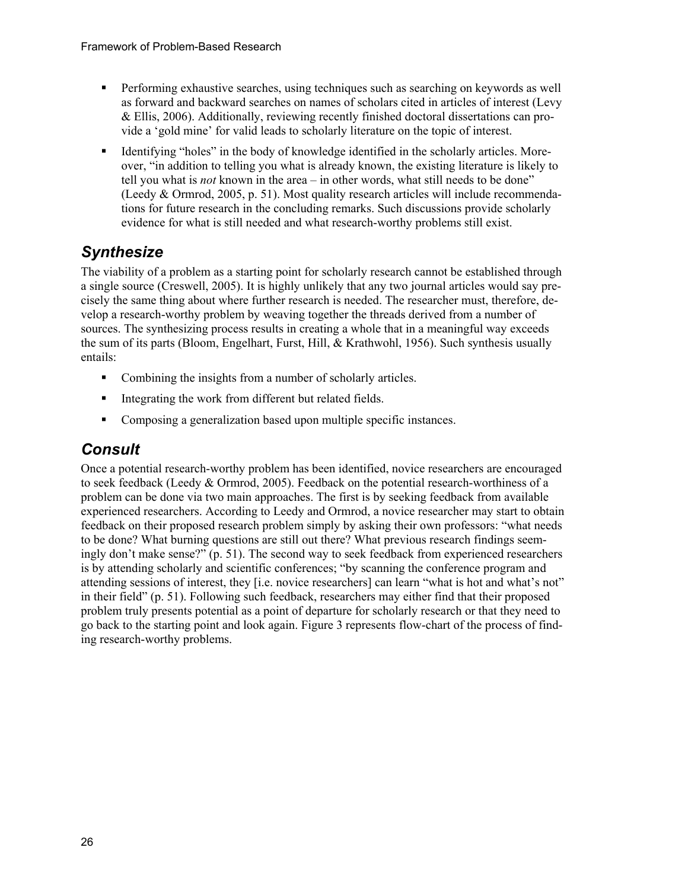- Performing exhaustive searches, using techniques such as searching on keywords as well as forward and backward searches on names of scholars cited in articles of interest (Levy & Ellis, 2006). Additionally, reviewing recently finished doctoral dissertations can provide a 'gold mine' for valid leads to scholarly literature on the topic of interest.
- Identifying "holes" in the body of knowledge identified in the scholarly articles. Moreover, "in addition to telling you what is already known, the existing literature is likely to tell you what is *not* known in the area – in other words, what still needs to be done" (Leedy & Ormrod, 2005, p. 51). Most quality research articles will include recommendations for future research in the concluding remarks. Such discussions provide scholarly evidence for what is still needed and what research-worthy problems still exist.

## *Synthesize*

The viability of a problem as a starting point for scholarly research cannot be established through a single source (Creswell, 2005). It is highly unlikely that any two journal articles would say precisely the same thing about where further research is needed. The researcher must, therefore, develop a research-worthy problem by weaving together the threads derived from a number of sources. The synthesizing process results in creating a whole that in a meaningful way exceeds the sum of its parts (Bloom, Engelhart, Furst, Hill, & Krathwohl, 1956). Such synthesis usually entails:

- Combining the insights from a number of scholarly articles.
- Integrating the work from different but related fields.
- Composing a generalization based upon multiple specific instances.

## *Consult*

Once a potential research-worthy problem has been identified, novice researchers are encouraged to seek feedback (Leedy & Ormrod, 2005). Feedback on the potential research-worthiness of a problem can be done via two main approaches. The first is by seeking feedback from available experienced researchers. According to Leedy and Ormrod, a novice researcher may start to obtain feedback on their proposed research problem simply by asking their own professors: "what needs to be done? What burning questions are still out there? What previous research findings seemingly don't make sense?" (p. 51). The second way to seek feedback from experienced researchers is by attending scholarly and scientific conferences; "by scanning the conference program and attending sessions of interest, they [i.e. novice researchers] can learn "what is hot and what's not" in their field" (p. 51). Following such feedback, researchers may either find that their proposed problem truly presents potential as a point of departure for scholarly research or that they need to go back to the starting point and look again. Figure 3 represents flow-chart of the process of finding research-worthy problems.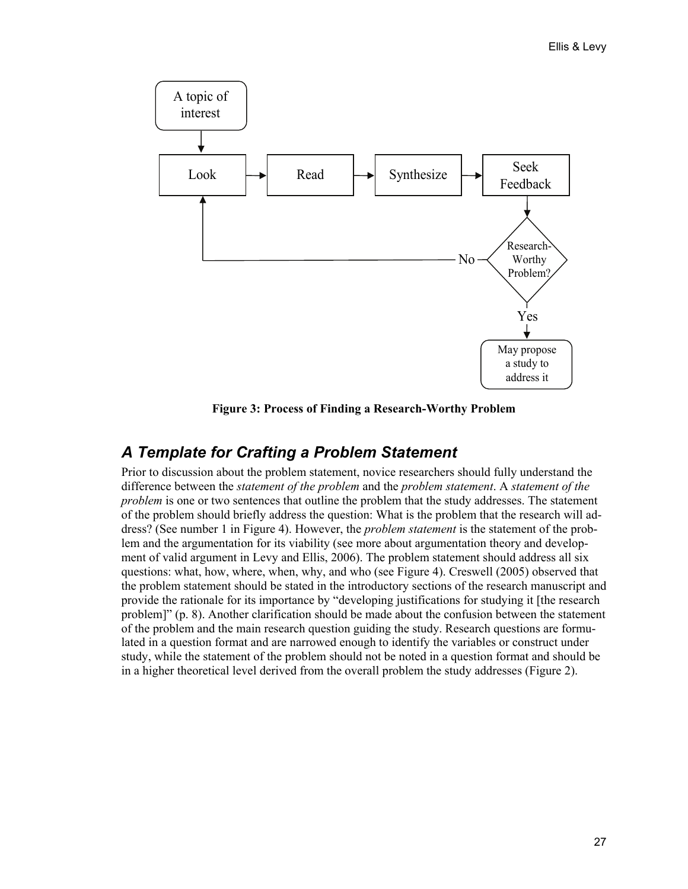

**Figure 3: Process of Finding a Research-Worthy Problem** 

## *A Template for Crafting a Problem Statement*

Prior to discussion about the problem statement, novice researchers should fully understand the difference between the *statement of the problem* and the *problem statement*. A *statement of the problem* is one or two sentences that outline the problem that the study addresses. The statement of the problem should briefly address the question: What is the problem that the research will address? (See number 1 in Figure 4). However, the *problem statement* is the statement of the problem and the argumentation for its viability (see more about argumentation theory and development of valid argument in Levy and Ellis, 2006). The problem statement should address all six questions: what, how, where, when, why, and who (see Figure 4). Creswell (2005) observed that the problem statement should be stated in the introductory sections of the research manuscript and provide the rationale for its importance by "developing justifications for studying it [the research problem]" (p. 8). Another clarification should be made about the confusion between the statement of the problem and the main research question guiding the study. Research questions are formulated in a question format and are narrowed enough to identify the variables or construct under study, while the statement of the problem should not be noted in a question format and should be in a higher theoretical level derived from the overall problem the study addresses (Figure 2).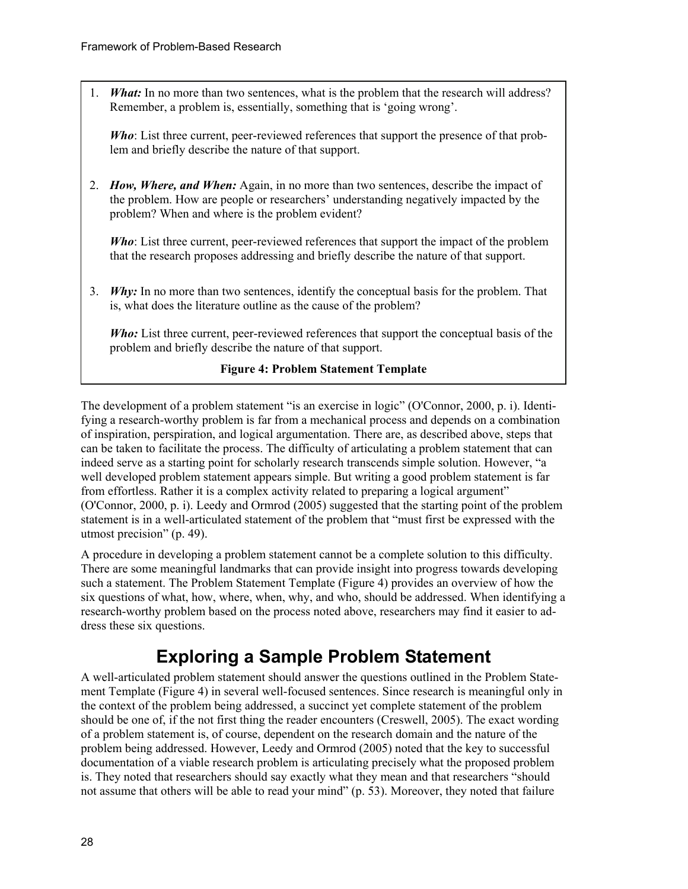1. *What:* In no more than two sentences, what is the problem that the research will address? Remember, a problem is, essentially, something that is 'going wrong'.

*Who*: List three current, peer-reviewed references that support the presence of that problem and briefly describe the nature of that support.

2. *How, Where, and When:* Again, in no more than two sentences, describe the impact of the problem. How are people or researchers' understanding negatively impacted by the problem? When and where is the problem evident?

*Who*: List three current, peer-reviewed references that support the impact of the problem that the research proposes addressing and briefly describe the nature of that support.

3. *Why:* In no more than two sentences, identify the conceptual basis for the problem. That is, what does the literature outline as the cause of the problem?

*Who:* List three current, peer-reviewed references that support the conceptual basis of the problem and briefly describe the nature of that support.

#### **Figure 4: Problem Statement Template**

The development of a problem statement "is an exercise in logic" (O'Connor, 2000, p. i). Identifying a research-worthy problem is far from a mechanical process and depends on a combination of inspiration, perspiration, and logical argumentation. There are, as described above, steps that can be taken to facilitate the process. The difficulty of articulating a problem statement that can indeed serve as a starting point for scholarly research transcends simple solution. However, "a well developed problem statement appears simple. But writing a good problem statement is far from effortless. Rather it is a complex activity related to preparing a logical argument" (O'Connor, 2000, p. i). Leedy and Ormrod (2005) suggested that the starting point of the problem statement is in a well-articulated statement of the problem that "must first be expressed with the utmost precision" (p. 49).

A procedure in developing a problem statement cannot be a complete solution to this difficulty. There are some meaningful landmarks that can provide insight into progress towards developing such a statement. The Problem Statement Template (Figure 4) provides an overview of how the six questions of what, how, where, when, why, and who, should be addressed. When identifying a research-worthy problem based on the process noted above, researchers may find it easier to address these six questions.

## **Exploring a Sample Problem Statement**

A well-articulated problem statement should answer the questions outlined in the Problem Statement Template (Figure 4) in several well-focused sentences. Since research is meaningful only in the context of the problem being addressed, a succinct yet complete statement of the problem should be one of, if the not first thing the reader encounters (Creswell, 2005). The exact wording of a problem statement is, of course, dependent on the research domain and the nature of the problem being addressed. However, Leedy and Ormrod (2005) noted that the key to successful documentation of a viable research problem is articulating precisely what the proposed problem is. They noted that researchers should say exactly what they mean and that researchers "should not assume that others will be able to read your mind" (p. 53). Moreover, they noted that failure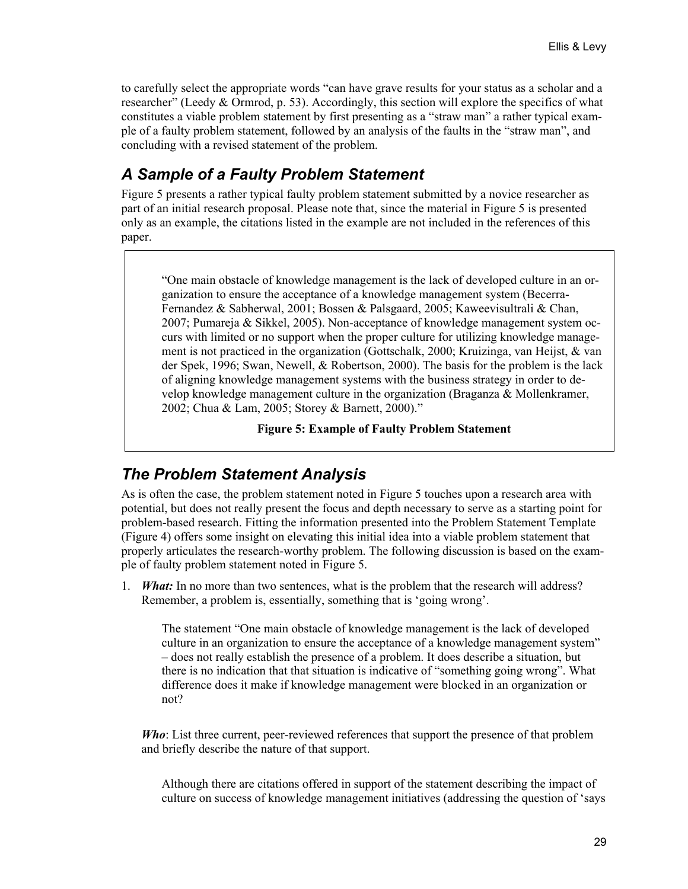to carefully select the appropriate words "can have grave results for your status as a scholar and a researcher" (Leedy & Ormrod, p. 53). Accordingly, this section will explore the specifics of what constitutes a viable problem statement by first presenting as a "straw man" a rather typical example of a faulty problem statement, followed by an analysis of the faults in the "straw man", and concluding with a revised statement of the problem.

## *A Sample of a Faulty Problem Statement*

Figure 5 presents a rather typical faulty problem statement submitted by a novice researcher as part of an initial research proposal. Please note that, since the material in Figure 5 is presented only as an example, the citations listed in the example are not included in the references of this paper.

"One main obstacle of knowledge management is the lack of developed culture in an organization to ensure the acceptance of a knowledge management system (Becerra-Fernandez & Sabherwal, 2001; Bossen & Palsgaard, 2005; Kaweevisultrali & Chan, 2007; Pumareja & Sikkel, 2005). Non-acceptance of knowledge management system occurs with limited or no support when the proper culture for utilizing knowledge management is not practiced in the organization (Gottschalk, 2000; Kruizinga, van Heijst, & van der Spek, 1996; Swan, Newell, & Robertson, 2000). The basis for the problem is the lack of aligning knowledge management systems with the business strategy in order to develop knowledge management culture in the organization (Braganza & Mollenkramer, 2002; Chua & Lam, 2005; Storey & Barnett, 2000)."

**Figure 5: Example of Faulty Problem Statement** 

## *The Problem Statement Analysis*

As is often the case, the problem statement noted in Figure 5 touches upon a research area with potential, but does not really present the focus and depth necessary to serve as a starting point for problem-based research. Fitting the information presented into the Problem Statement Template (Figure 4) offers some insight on elevating this initial idea into a viable problem statement that properly articulates the research-worthy problem. The following discussion is based on the example of faulty problem statement noted in Figure 5.

1. *What:* In no more than two sentences, what is the problem that the research will address? Remember, a problem is, essentially, something that is 'going wrong'.

The statement "One main obstacle of knowledge management is the lack of developed culture in an organization to ensure the acceptance of a knowledge management system" – does not really establish the presence of a problem. It does describe a situation, but there is no indication that that situation is indicative of "something going wrong". What difference does it make if knowledge management were blocked in an organization or not?

*Who*: List three current, peer-reviewed references that support the presence of that problem and briefly describe the nature of that support.

Although there are citations offered in support of the statement describing the impact of culture on success of knowledge management initiatives (addressing the question of 'says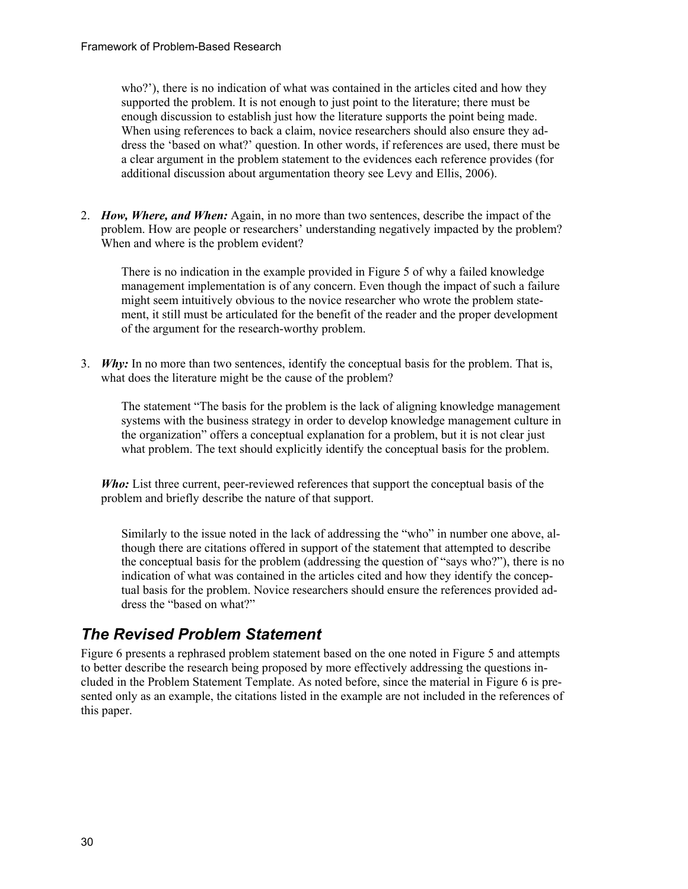who?'), there is no indication of what was contained in the articles cited and how they supported the problem. It is not enough to just point to the literature; there must be enough discussion to establish just how the literature supports the point being made. When using references to back a claim, novice researchers should also ensure they address the 'based on what?' question. In other words, if references are used, there must be a clear argument in the problem statement to the evidences each reference provides (for additional discussion about argumentation theory see Levy and Ellis, 2006).

2. *How, Where, and When:* Again, in no more than two sentences, describe the impact of the problem. How are people or researchers' understanding negatively impacted by the problem? When and where is the problem evident?

There is no indication in the example provided in Figure 5 of why a failed knowledge management implementation is of any concern. Even though the impact of such a failure might seem intuitively obvious to the novice researcher who wrote the problem statement, it still must be articulated for the benefit of the reader and the proper development of the argument for the research-worthy problem.

3. *Why:* In no more than two sentences, identify the conceptual basis for the problem. That is, what does the literature might be the cause of the problem?

The statement "The basis for the problem is the lack of aligning knowledge management systems with the business strategy in order to develop knowledge management culture in the organization" offers a conceptual explanation for a problem, but it is not clear just what problem. The text should explicitly identify the conceptual basis for the problem.

*Who:* List three current, peer-reviewed references that support the conceptual basis of the problem and briefly describe the nature of that support.

Similarly to the issue noted in the lack of addressing the "who" in number one above, although there are citations offered in support of the statement that attempted to describe the conceptual basis for the problem (addressing the question of "says who?"), there is no indication of what was contained in the articles cited and how they identify the conceptual basis for the problem. Novice researchers should ensure the references provided address the "based on what?"

## *The Revised Problem Statement*

Figure 6 presents a rephrased problem statement based on the one noted in Figure 5 and attempts to better describe the research being proposed by more effectively addressing the questions included in the Problem Statement Template. As noted before, since the material in Figure 6 is presented only as an example, the citations listed in the example are not included in the references of this paper.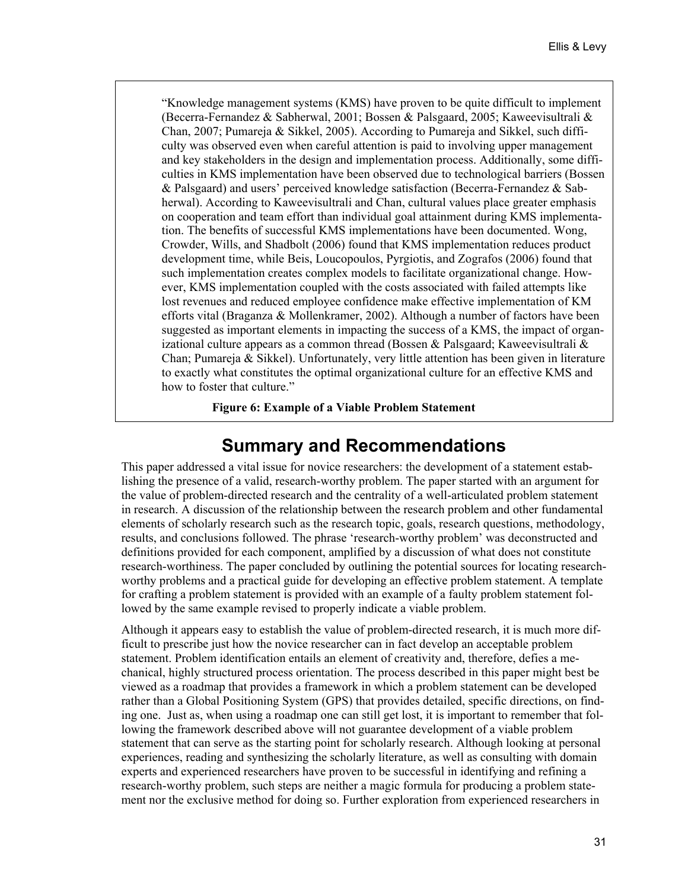"Knowledge management systems (KMS) have proven to be quite difficult to implement (Becerra-Fernandez & Sabherwal, 2001; Bossen & Palsgaard, 2005; Kaweevisultrali & Chan, 2007; Pumareja & Sikkel, 2005). According to Pumareja and Sikkel, such difficulty was observed even when careful attention is paid to involving upper management and key stakeholders in the design and implementation process. Additionally, some difficulties in KMS implementation have been observed due to technological barriers (Bossen & Palsgaard) and users' perceived knowledge satisfaction (Becerra-Fernandez & Sabherwal). According to Kaweevisultrali and Chan, cultural values place greater emphasis on cooperation and team effort than individual goal attainment during KMS implementation. The benefits of successful KMS implementations have been documented. Wong, Crowder, Wills, and Shadbolt (2006) found that KMS implementation reduces product development time, while Beis, Loucopoulos, Pyrgiotis, and Zografos (2006) found that such implementation creates complex models to facilitate organizational change. However, KMS implementation coupled with the costs associated with failed attempts like lost revenues and reduced employee confidence make effective implementation of KM efforts vital (Braganza & Mollenkramer, 2002). Although a number of factors have been suggested as important elements in impacting the success of a KMS, the impact of organizational culture appears as a common thread (Bossen & Palsgaard; Kaweevisultrali  $\&$ Chan; Pumareja & Sikkel). Unfortunately, very little attention has been given in literature to exactly what constitutes the optimal organizational culture for an effective KMS and how to foster that culture."

**Figure 6: Example of a Viable Problem Statement**

## **Summary and Recommendations**

This paper addressed a vital issue for novice researchers: the development of a statement establishing the presence of a valid, research-worthy problem. The paper started with an argument for the value of problem-directed research and the centrality of a well-articulated problem statement in research. A discussion of the relationship between the research problem and other fundamental elements of scholarly research such as the research topic, goals, research questions, methodology, results, and conclusions followed. The phrase 'research-worthy problem' was deconstructed and definitions provided for each component, amplified by a discussion of what does not constitute research-worthiness. The paper concluded by outlining the potential sources for locating researchworthy problems and a practical guide for developing an effective problem statement. A template for crafting a problem statement is provided with an example of a faulty problem statement followed by the same example revised to properly indicate a viable problem.

Although it appears easy to establish the value of problem-directed research, it is much more difficult to prescribe just how the novice researcher can in fact develop an acceptable problem statement. Problem identification entails an element of creativity and, therefore, defies a mechanical, highly structured process orientation. The process described in this paper might best be viewed as a roadmap that provides a framework in which a problem statement can be developed rather than a Global Positioning System (GPS) that provides detailed, specific directions, on finding one. Just as, when using a roadmap one can still get lost, it is important to remember that following the framework described above will not guarantee development of a viable problem statement that can serve as the starting point for scholarly research. Although looking at personal experiences, reading and synthesizing the scholarly literature, as well as consulting with domain experts and experienced researchers have proven to be successful in identifying and refining a research-worthy problem, such steps are neither a magic formula for producing a problem statement nor the exclusive method for doing so. Further exploration from experienced researchers in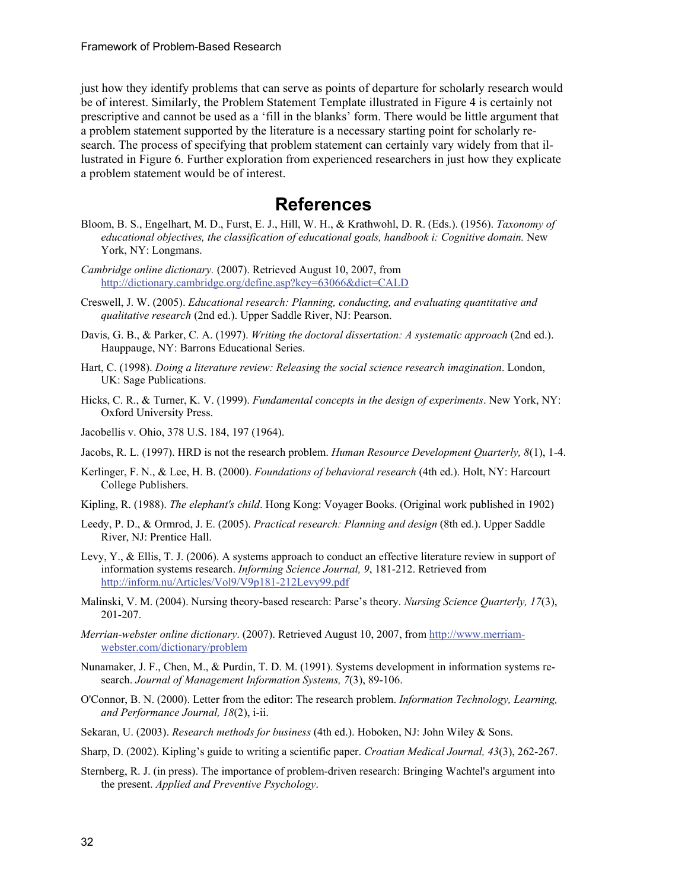just how they identify problems that can serve as points of departure for scholarly research would be of interest. Similarly, the Problem Statement Template illustrated in Figure 4 is certainly not prescriptive and cannot be used as a 'fill in the blanks' form. There would be little argument that a problem statement supported by the literature is a necessary starting point for scholarly research. The process of specifying that problem statement can certainly vary widely from that illustrated in Figure 6. Further exploration from experienced researchers in just how they explicate a problem statement would be of interest.

## **References**

- Bloom, B. S., Engelhart, M. D., Furst, E. J., Hill, W. H., & Krathwohl, D. R. (Eds.). (1956). *Taxonomy of educational objectives, the classification of educational goals, handbook i: Cognitive domain.* New York, NY: Longmans.
- *Cambridge online dictionary.* (2007). Retrieved August 10, 2007, from http://dictionary.cambridge.org/define.asp?key=63066&dict=CALD
- Creswell, J. W. (2005). *Educational research: Planning, conducting, and evaluating quantitative and qualitative research* (2nd ed.). Upper Saddle River, NJ: Pearson.
- Davis, G. B., & Parker, C. A. (1997). *Writing the doctoral dissertation: A systematic approach* (2nd ed.). Hauppauge, NY: Barrons Educational Series.
- Hart, C. (1998). *Doing a literature review: Releasing the social science research imagination*. London, UK: Sage Publications.
- Hicks, C. R., & Turner, K. V. (1999). *Fundamental concepts in the design of experiments*. New York, NY: Oxford University Press.
- Jacobellis v. Ohio, 378 U.S. 184, 197 (1964).
- Jacobs, R. L. (1997). HRD is not the research problem. *Human Resource Development Quarterly, 8*(1), 1-4.
- Kerlinger, F. N., & Lee, H. B. (2000). *Foundations of behavioral research* (4th ed.). Holt, NY: Harcourt College Publishers.
- Kipling, R. (1988). *The elephant's child*. Hong Kong: Voyager Books. (Original work published in 1902)
- Leedy, P. D., & Ormrod, J. E. (2005). *Practical research: Planning and design* (8th ed.). Upper Saddle River, NJ: Prentice Hall.
- Levy, Y., & Ellis, T. J. (2006). A systems approach to conduct an effective literature review in support of information systems research. *Informing Science Journal, 9*, 181-212. Retrieved from http://inform.nu/Articles/Vol9/V9p181-212Levy99.pdf
- Malinski, V. M. (2004). Nursing theory-based research: Parse's theory. *Nursing Science Quarterly, 17*(3), 201-207.
- *Merrian-webster online dictionary*. (2007). Retrieved August 10, 2007, from http://www.merriamwebster.com/dictionary/problem
- Nunamaker, J. F., Chen, M., & Purdin, T. D. M. (1991). Systems development in information systems research. *Journal of Management Information Systems, 7*(3), 89-106.
- O'Connor, B. N. (2000). Letter from the editor: The research problem. *Information Technology, Learning, and Performance Journal, 18*(2), i-ii.
- Sekaran, U. (2003). *Research methods for business* (4th ed.). Hoboken, NJ: John Wiley & Sons.
- Sharp, D. (2002). Kipling's guide to writing a scientific paper. *Croatian Medical Journal, 43*(3), 262-267.
- Sternberg, R. J. (in press). The importance of problem-driven research: Bringing Wachtel's argument into the present. *Applied and Preventive Psychology*.